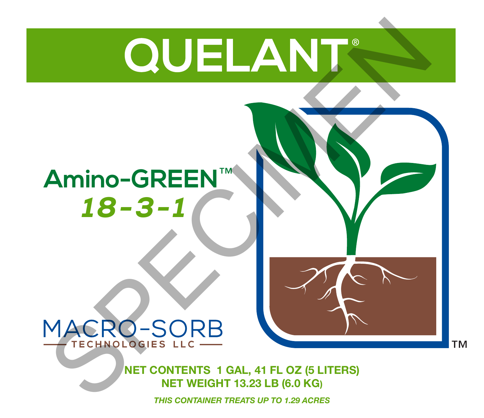# MACRO-SORB

# *18-3-1* **Amino-GREEN**™

# **NET CONTENTS 1 GAL, 41 FL OZ (5 LITERS) NET WEIGHT 13.23 LB (6.0 KG)**

**TM** 

*THIS CONTAINER TREATS UP TO 1.29 ACRES*